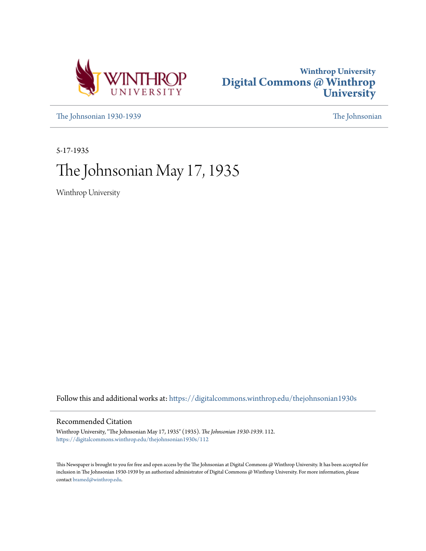



[The Johnsonian 1930-1939](https://digitalcommons.winthrop.edu/thejohnsonian1930s?utm_source=digitalcommons.winthrop.edu%2Fthejohnsonian1930s%2F112&utm_medium=PDF&utm_campaign=PDFCoverPages) [The Johnsonian](https://digitalcommons.winthrop.edu/thejohnsonian_newspaper?utm_source=digitalcommons.winthrop.edu%2Fthejohnsonian1930s%2F112&utm_medium=PDF&utm_campaign=PDFCoverPages)

5-17-1935

# The Johnsonian May 17, 1935

Winthrop University

Follow this and additional works at: [https://digitalcommons.winthrop.edu/thejohnsonian1930s](https://digitalcommons.winthrop.edu/thejohnsonian1930s?utm_source=digitalcommons.winthrop.edu%2Fthejohnsonian1930s%2F112&utm_medium=PDF&utm_campaign=PDFCoverPages)

# Recommended Citation

Winthrop University, "The Johnsonian May 17, 1935" (1935). *The Johnsonian 1930-1939*. 112. [https://digitalcommons.winthrop.edu/thejohnsonian1930s/112](https://digitalcommons.winthrop.edu/thejohnsonian1930s/112?utm_source=digitalcommons.winthrop.edu%2Fthejohnsonian1930s%2F112&utm_medium=PDF&utm_campaign=PDFCoverPages)

This Newspaper is brought to you for free and open access by the The Johnsonian at Digital Commons @ Winthrop University. It has been accepted for inclusion in The Johnsonian 1930-1939 by an authorized administrator of Digital Commons @ Winthrop University. For more information, please contact [bramed@winthrop.edu](mailto:bramed@winthrop.edu).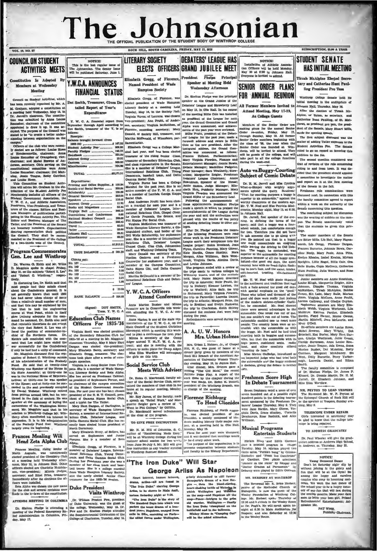# The Johnsonian THE OFFICIAL PUBLICATION OF THE STU

K HILL, SOUTH CAROLINA, FRIDAY, MAY 17, 1935

VOL. 12, NO. 27

**COUNCH ON STUDENT ACTIVITIES MEETS** 

stitution Is Adopted By C<sub>n</sub> Members at Wednesday Meeting

adent Activi eil on S has been recently organized by Mr. A. has been recently organized by Mr. A.<br>
A. Carakam, adopted a constitution at a mesting held Wednesday, May 15, in 15, in 2001, the constitution Dr. Dr. Jerrelly chance was submitted by Anna Louis<br>
Hanno was submitted by A ng between organi

ampus."<br>
Officers of the club who were respected are as follows: Louise 1<br>
I Hendessmaville, chairman;<br>
1 Hendessmaville, chairman;<br>
coule Renuelser of Orangeburg.<br>
hairman; and Mabel Browne of<br>
terson, secretary. Olria se donal committee were Louise Renneker, chairman; Dot

constitutional consultate were Ann and Louise Sennether, chairman; Do' Mar<br>and Louise Sennether, chairman; Do' Mar<br>and Louise Steve.<br>This Committee on Student Activity Five and Louise Steve.<br>This Committee is the State of

### Program Commemorate Gen. Lee and Winthrop

Dr. Warren G. Ecith and Mr. Wilh<br>D. Magginis spoke in chapel Priday<br>May 10, on the subjects "Robert E. Lee<br>and "Robert G. Winthrop," respections

Gen. As the same of the same of the same of the same of the same of the same of the same of the same of the same of the same of the same of the same of the same of the same of the same of the same of the same of the same

**Prances Mealing, rising dender of Eliminorial Creation of the state of the<br>Meridi Anguada, was unanimored plumble of Debalarus Glub, respectively<br>densites of the Openality Club creation and the conduction of the Debalaru** 



 $X$ . W. C. A. Tinancial report from<br>September through April according to<br>Dot Smith, treasurer of the  $X$ , is as L.

|               | the Balance brought forward thom                                                                                                                                                                          |  |
|---------------|-----------------------------------------------------------------------------------------------------------------------------------------------------------------------------------------------------------|--|
|               |                                                                                                                                                                                                           |  |
|               |                                                                                                                                                                                                           |  |
|               |                                                                                                                                                                                                           |  |
|               |                                                                                                                                                                                                           |  |
|               | ent-<br>1833-30 - 1923-20 - 1933-20 - 1933<br>Student Activity Par - 1930<br>Price Bacullo Figure - 1931<br>Mar-<br>Interest Group - 1932<br>An-<br>Interest Group - 1932<br>An-<br>Interest Group - 1933 |  |
|               | Canteen versusessessessesses 500.0                                                                                                                                                                        |  |
|               |                                                                                                                                                                                                           |  |
| Man-<br>dson, |                                                                                                                                                                                                           |  |
| $-14-$        | Expenditures:                                                                                                                                                                                             |  |

| <b>CARLO MANIFORNIA</b>                                               |        |
|-----------------------------------------------------------------------|--------|
| y-<br>Printing and Office Supplies \$                                 | 105,84 |
| is-<br><b>Bocials and Social Service </b><br>$\overline{\phantom{a}}$ | 259.B4 |
| he                                                                    | 135.00 |
|                                                                       | 250,00 |
|                                                                       | 110.45 |
| m, l<br>Interest Group                                                | 15 %3  |
| Books and Magazines                                                   | 83.44  |
|                                                                       | 266.13 |
| Conventions and Conferences                                           | 9.00   |
| National Student Council                                              | 200,00 |
|                                                                       | 286.45 |
| Travel Demands reserves the three                                     | 82.02  |
| Tatler _______________________                                        | 83.00  |
| Johnson Hall                                                          | 63.31  |
| Miscellancous                                                         | 60.50  |
| 'ge                                                                   |        |
|                                                                       |        |
| <b>P.S.</b><br>TRIDE BALANCE 8 261 20                                 |        |

| <b>CHECKS</b> OUT: |  |                                           |  |
|--------------------|--|-------------------------------------------|--|
|                    |  |                                           |  |
|                    |  |                                           |  |
|                    |  |                                           |  |
|                    |  |                                           |  |
|                    |  |                                           |  |
|                    |  | No. 94 <i>expressors are a maximum as</i> |  |
|                    |  |                                           |  |
|                    |  |                                           |  |

|  | (Signed) DOT SMITH, | Treas. Y. W. O. / |  |
|--|---------------------|-------------------|--|

Porums. She P a member of some states in the state of the original and the state of Debater's Length Islam and S4-July 6. Mr. Hill will give The purpose of the original method of Debater's Length Islam and The United Rela

# Visits Winthrop

mear in the operator and construction. The William Presion Four, president and the president of the Contract of the grad of the meeting of the Federal Energies at the college, Weinesday, May 15. Dr. meeting of the Federal

## **DEBATERS' LEAGUE HAS ELECTS OFFICERS GRAND JUBILEE MEET** Elizabeth Gregg, of Florence, President Phelps Princip **Speaker at Meeting Held**

**Hampton Society** 

Dr. Shelton Phelps was the prin

0.45 1 83 6.13 9.00 6.45

2.02<br>3.00 3.31 0.50  $120$ 

1.43<br>5.00<br>7.15<br>2.25<br>1.60

"The Iran Duke," starring George

"The Fron Duke," starring George<br>Arkim, is de shown in Mala Andl.<br>Gerlam Saturday pight at 7:50.<br>"The Iron Duke" is the starr of<br>The Hundred Days into which was<br>dred the tense drama of a hun-<br>dred years: Napoleon, escaped  $\epsilon$  so  $\overline{r}$ 

NUTICES<br>Installation of Athletic Automobile<br>May 20 at 6:30 in Johnson<br>Everyone is invited to attend. SENIOR ORDER PLANS Wednesday Afternoon **FOR ANNUAL REUNION** 

NOTICE!

The matrix of New School of New York 1984 and 1982 and 1983 and 1983 and 2000. The matrix of the matrix of the matrix of the matrix of the matrix of the matrix of the matrix of the matrix of the matrix of the matrix of th

Beven freshmen raidd a sovre of over **MR. PEYTON TO LEAD VESPERS** accompandated sati of a possible eight The Recreated Mr. W. P. Peyton of Roch Hill will numinapostand by the Preshman De- be the appearant spontant appeara Willimon.

### **Musical Programs Entertain Students**

Etirlam Riley and Edith Gorn Etiriam Riley and Edith Gon Taussian Inc.<br>
gase a matteri program in chinese Tussels 2 States and The Victor solution<br>
2 States 2 States 2 States 2 States 2 States 2 States 2 States 2 States<br>
2 States 2 States 2 States 2 per and<br>" by

### MR. HERBERT AT WINTHROP

318. IIFABERT AT WINTHROP<br>The Reversed ME. R. Briefs Herbert.<br>Jakinovichi, is now the Stelhodist Church of Winter Chainer of the Methodist Church of Winter<br>Weisey Poundation of Winters College.<br>Mr. Herbert species Thursday

**SUBSCRIPTION, SLAG A VEAR.** 

# STUDENT SENATE **HAS INITIAL MEETING**

Tirzah McAlpine Elected Secre tary and Catherine Hunt Paulling President Pro Tem

Girls interested in astronomy may<br>be also to know that the college tele-<br>scope is being repaired.

TO ADDRESS GRADUATES

Dr. Paul Wheeler will give the gra untion address at Andrews High School,<br>in Andrews, or. Thursday, May 30.

NOTICE:

NOTICE:  $\begin{array}{l} \textbf{Norm}(1) = \textbf{Norm}(1) \\ \textbf{Norm}(2) = \textbf{Norm}(2) \\ \textbf{Uniform}(3) = \textbf{Spin}(3) \\ \textbf{Uniform}(4) = \textbf{Spin}(4) \\ \textbf{Norm}(5) = \textbf{Spin}(5) \\ \textbf{F} = \textbf{Spin}(5) = \textbf{Spin}(5) \\ \textbf{F} = \textbf{Spin}(5) = \textbf{Spin}(5) \\ \textbf{F} = \textbf{Spin}(5) = \textbf{Spin}(5) \\ \textbf{Diff}(5) = \textbf{Spin}(5) = \textbf{Spin}(5) \\ \textbf{Diff}(5) = \textbf{$ mission 10c

PAT WEEL

rior of the minimized and the strength of the street parameters and the street parameters has the street parameter and the street street and the magnetering and the magnetic street and the magnetic street and the street a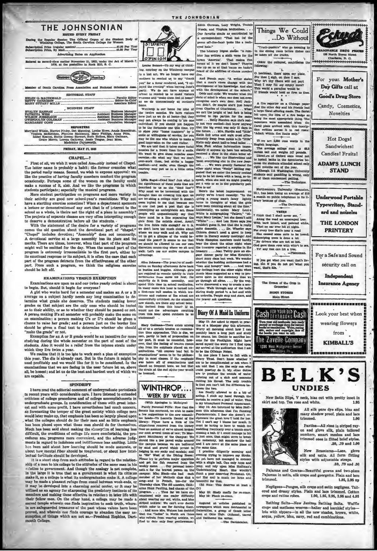### THE JOHNSONIAN **IRSTED EVERY FRIDAY**

During the Regular Session The Official Organ of the Winthrop College, The South Carolina College for ...\$1.00 Per Yea

Advertisie ng Rates on Application. Entered as second-class matter November 21, 1923, under the Act of March ? 1979, at the postoffice in Rock Hill, S. C.

**Expertised Members** 

r of South Caroline Press Association and National Scholastic Asso

| <b>EDITORIAJ, STAFF</b>                                             |
|---------------------------------------------------------------------|
|                                                                     |
|                                                                     |
| <b>BUSINESS STAFF</b>                                               |
|                                                                     |
| WILSON JOSSKLSON _________________________ Assistant Business Manag |
|                                                                     |
| Clemistics Manager<br><b>MEASON STREET</b>                          |

**EZPORTERS** Earyland Wilson, Harriet Finley, Dot Manning, Louise Howe, Anale Formation McKelthen, Fincence Richbourg, Mary Phillips, Anna Isabel Keaton, Herican Geliowny, Jessie Teater Schwart, Archiveles, Mary Gallier, Lorena Gallown **PHEL** 

# FRIDAY, MAY 17, 1935

### CHAPEL-7

First of all, we wish it were called Assembly instead of Chapel.<br>The latter name is probably a habit; the former connotes what the period really means. Second, we wish to express approval: we like the practice of having faculty members conduct the program occasionally. Perhaps some of the women on the faculty could make a success of it, also. And we like the programs in which students participate: especially the musical programs.

More student participation on programs and more variety in<br>their activity are good new school-year's resolutions. Why not have a startling exercise sometime? When a department sponsors a lecture or demonstration of any sort that is of interest to the school as a whole, is theirs not the right of a place in assembly? The projects of separate classes are very often interesting enough serve a demonstration before all the students. to de

With the statement of the desire for a variety of programs<br>comes the old question about the devotional part of "chapel."<br>"Chapel" includes devotion; "Assembly" does not necessarily. votional service at a large assembly has its place and its A d merits. There are times, however, when that part of the program might well be omitted for the day. When the second part of the program is extremely irreconcilable to the first part, either by its emotional response or its subject, it is often the case that each part of the program detracts from the effectiveness of the other part. From such a program, we think the religious exercise should be left off.

### *BXAMINATIONS VERSUS EXEMPTION*

Examinations are upon us and our twice yearly ordeal is about

to begin. But, should it begin for everyone?<br>A girl who works hard for a semester and makes an A or a B average on a subject hardly needs any long examination to determine what grade she deserves. The students making lower grades on that subject are the only ones who should be tested as to their ability, or as to whether they should be passed or not.<br>A person making B's all semester will probably make the same on an examination; a person making C's or D's should be given a chance to raise her grade; and a person just on the border line<br>should be given a final test to determine whether she should "make the grade" or not.

Exemption for an A or B grade would be an incentive for more studying during the whole semester on the part of most of the students. Also it would be a relief from the intense strain under which they live twice a year.

We realize that it is too late to work such a plan of exemption ive to see the six already cast. But in the future it might be<br>this year. The die is already cast. But in the future it might be<br>used profitably and we would like for it to be considered. In the examinations that we are facing in the near future let us, above<br>all, be homest; and let us do the best and hardest work of which we are capable.

### **SPINDRIFT**

I have read the editorial comment of undergraduate periodical In recent years with considerable care. I have listened to extended erities of college procedures and of college accomplishments is<br>undergraduate groups. In consideration of these with great interest and with some profit, I have nevertheless had much concern as forecasting the temper of the great society which college men would later make up, that emphasis has been so largely placed upon what the colleges should do for their men and so little emphasis has been placed upon what these men should do for themselves Much has been said about making the shoorption of learning less difficult, the conditions of college life more comfortable, the procedures and programs more convenient, and the adverse judg ments in regard to indolence and indifference less exciting. Little has been said about how learning should be made accurate, or about how ments! fiber should be toughened, or about how inteltual fortitude should be developed.<br>It is a short step from such attitudes in regard to the relation

hip of a man to his college to the attitudes of the same man in his<br>relation to government. And though the analogy is not complete in the large it is true that as a government is what its citizens make it, so a college is what its undergraduates make it. A college may be made a pleasant refuge from ennul between week-ends, or if may be developed into a charming social center, or if may be utilized as an agency for skarpening the predstory instincts of its members and making these e members and maximg uses encerve in reactors in taxe its child that the maximum that a college may be made a sacced temple wherein one finds inspiration to seek truth, wherein in a cafegaarded treasures of the past whose va month College.



THE JOHNSONIAN

countery on the Winthrop camps is a lost art. We no longer have or mothers to remind us to say "thank"<br>you" for a favor rendered, and, "I enyou" for a form rendered, and, "I can be a lover rendered, and, "I can be rening" when leaving Jane's<br>loyed the evening" when leaving Jane's a lower anyons at the solid to rential us to make visitors<br>school to rential us t

Winthrop is out home for nine o the twelve months. We have visitors<br>here just as we do at home-hus they<br>may not always be coming to see one individual, If you should not happen to be the forth nate one this time, try your "home manners" by<br>willingness of service, for you to show your "home m smile or may be the one who wishes to

ion on the next visitor. We are told that it takes more facial<br>auscles for a frown than for a smile. We are told that it takes more facial muscles for a frown than for a smile. We want to give denominate some correcte.—50 what any that we don't over a smile over our other and proportionally over the small modulus over mo

Lillie Regol--Dead line? Just what is the department of these goals that are determined on the control of the dependent of the definition of the star of the star in the star of the star in the star in the star of the star Lillie Rogol-Dead line? Just what is

Auranus, consequent and buggles. Although the<br>moment dates back take to the business of any discussion of<br>the consequence of a state of the consequence of the consequence of<br>the consequence of the consequence of the conseq

uy Galler

Mary Galbnas---There exists among<br>the of us a certain tension as cramina----<br>on time approaches. This is due, we<br>on time approaches. This is due, we<br>are much party to lack of preparation concerned, how-<br>or part in the fee mminations" seems to be the philoso-<br>hy in most classes. If the emphasis<br>as taken off of examinations and<br>laced on frequent tests, we feel that phy placed on frequent tests, we feel that<br>he strain at the end of the year would

**WINTHROP.** WEEK BY WEEK

## (With Apologies to McIntyre)

Purely Perzonal Piffle: Now that the s convened, we wish to make<br>gestions to the new commit<br>--To Lucretia Daniel of th a few sugge a few our<br>generations to the new commit- of the lines<br>is the based-over our constants and the lines<br>of the lines of the lines of the lines of the lines of the simple rate<br>variance of welves almost the big the disc of the . h

Edith Gorman, Lucy Wright, Tootsi-, and Virginia woods, and Virginia McKetthen. . .<br>Our favorite simile as contributed by condent: "That hat (of the .<br>a corres us off-the-face) looks like a cock eyed halo." The Literary Digest states: "A rain

ter has written a sixth verse for the hymn 'America'. That makes fly<br>verses of it we don't know." They're<br>one up on us at khat 'cause we hadn't<br>heard of the addition of stanza number five.

fire.<br>
And Punch says: "A writer states that it has many views change with the<br>
development of his knowledge, And also<br>
development of his knowledge, And also<br>
with the development of this knowledge, And also<br>
Odds and en

nvited to two parties for the same<br>cour....Betty Blanton says she's really not very excited-but knew anyway at the big event was only 21 days in the future.... Mrs. Hardin and "little<br>Katie link arms and walk most affec tionately sway from meals with "little<br>Katie only about half-a-head taller...

8. ma

asset occur maniage accure at the transfer factor with the incompleting "Tatlers," "Al-<br>white is autographing "Tatlers," "Al-<br>ways Mary Louise," but she doesn't add<br>"White," ... And Lou Howe says you<br>wouldn't guess it, but

way Mary Louise," but the dosen't add<br> $\gamma$  within a "with the same and add to the same specified pusse it, but that the large<br>discusse of equilibric contributions of the same of the same of the<br>dosen contribute in the sam



May 13: Am asked to report to practice of a Masquer play this attention.<br>Worry all morning about how I can possibly learn a long part and study<br>for exams, too, Decide to sacrifice lessons for the Footlebin Maght Pars<br>asset saved myself the worry for I find upon<br>my arrival at the auditorium that I am o be the Offstage Noises.<br>In one place I have to fall with

leavy Thud. Don't know whether am to be complimented or not when I<br>am told that I am the only one who could possibly do it. My other duties is that you can't tell the different the two.

Am finally allowed to do a bit of acting. I stick my hand through the is my triumphant Personal Ap<br>- May 14: Am informed by M al Anne man this afternoon that I'm fis Pundamentals. I fear she doesn't ciprocate the gr cluccate the great love than the much it we have<br>different to the much. I must be boring to have to watch must<br>be adding fractically over a tension counter weaked in weaked<br>in change a ball. If I could manage to hit is the ch. It court<br>to hit<br>break

the s I practice diligently morning and I practice diligently morning and a<br>representing product ellips to improve my Sirche, the lawr not managed to connect<br>the single ball. Can only hopp and the with a single ball. Can only hopp and<br>practically Figure . Singl

May 15: Study madly for re-exam May 16: Flunk re-exam.

Angered at 'articles published in<br>newspapers which were dotrimental to<br>fraternities, a group of Geast total transperse was group of Greek letter<br>men at Oklo Univ. (Athens), tarred<br>and feathered the writer.<br>-The Davidsonian,<br>-The Davidsonian,

Things We Could ...Do Without "Truck-pushers" who go zooming by<br>in the dining youn before dishes can<br>be taken off the trucks. dining room before the strucks.  $\frac{1}{N}$ . C. Ooker the cultured, contrib- $\begin{tabular}{lcccc} \multicolumn{4}{c}{\textbf{1}} & \multicolumn{4}{c}{\textbf{1}} \\ \multicolumn{4}{c}{\textbf{O}~\textbf{beetisek, these upon my plate,}} \\ \multicolumn{4}{c}{\textbf{For the i sig.}} & \multicolumn{4}{c}{\textbf{or the i saw,}} \\ \multicolumn{4}{c}{\textbf{For the i tag.}} & \multicolumn{4}{c}{\textbf{For } \textbf{new}} \\ \multicolumn{4}{c}{\textbf{For a set by These will not part}} \\ \multicolumn{4}{c}{\textbf{The i may full any empty may}} \\ \multicolumn{4}{c}{\textbf{This world is partial to the i$ For your. Mother's Day Gifts call at Good's Drug Store A fire reporter on a Chicago paper and the other day and his friends had a large (botal offering mass. The fortest binds his paper botal of a fire badge as botanic spropriete thing. The most appropriate thing, the fiber i Candy, Cosmetics, Novelties From a material condition of the SAS of the Ray School of the Shapel and the Shapel and the state of Caroline condition of Caroline and the state of the state of the state of the state of the state of the state of the stat Hot Dogs! Sandwiches! **Candies! Fruits! ADAM'S LUNCH STAND**  $-The T$ stern University (Ev) Northwestern transmitter of \$10<br>(ii.), has been losing an average of \$10<br>a month on public telephones in its li-**Underwood Portable** rary because of slugs -The Davidsonian. Typewriters, Standard and noiseles Along the road an unscraped tree.<br>With bark intact, and painted white **THE LONDON** That no car ever hit at night, **PRINTERY** Has caused some auto to be to deswiping trees is done a lot By drivers who are not so hot God gave the n even with which to a . Yet any fool can hit a tree.  $\lambda$ For a Safe and Sound  $\sim$   $^{-1}$ If you get what you want that's living, but if you do not get what you want, that's life. sécurity call on Independent The Oream of the Crop in Insurance Agency **HOME STORES** Main Street ,,,,,,,,,,,,,,,,,,,,, Cash FOR YOUR DLD Cash Look your best when Tura yo ur old tembooks into re<br>or exchange them for cum<br>r musikulons. Waire, put wearing flowers

1330 West Montgomery Avenue ,,,,,,,,,,,,,,,,,,

from

**KIMBALL'S** 

**BELK'S UNDIES** 

darion.<br>and copyr.

The Zavelle Company

New Satin Slips, V neck, bias cut with pretty inset in skirt and top. Tea rose and white.

> All silk pure dye slips, bias and many shadow proof, plain and lace trim ed. 1.00

Panties-All sizes in striped rayon and glove silk, plain tailored numbers, smart meshes and lace<br>trimmed ones in fitted brief styles. .50, .79 and 1.00

New Brassieres-Lace, glove silk and satia. All form fitting styles with adjustable straps. 59. 79 and 98

Pajamas and Gowns-Beautiful gowns and two-piece Pajamas in satin, silk crepe and georgette. Plain and lace 1.95, 2.95 up

Negligees--Pongee, silk creps and satin negligees. Tailored and dressy styles. Plain and lace trimmed. Cotton creps and ratine robes. 1.00, 1.95, 2.95, 3.95 and 4.95

Bathing Suits-New Jantzen Bathing Suits. Waffle crepe and matlasse weaves-halter and kerchief styles<br>lots with sippers-in all the new shades, hrown, while as, hrown, white, acqua, yellow, blue, mavy, red and combinations.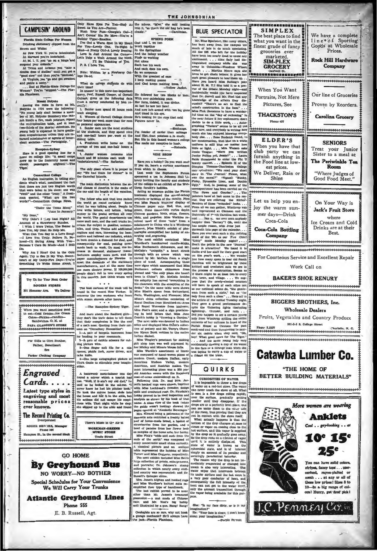|                                                                                    | THE JOHNSONIAN                                                                            |                                                                                                               |                                                                                    |                                                |                                                           |  |
|------------------------------------------------------------------------------------|-------------------------------------------------------------------------------------------|---------------------------------------------------------------------------------------------------------------|------------------------------------------------------------------------------------|------------------------------------------------|-----------------------------------------------------------|--|
|                                                                                    | Only Have Eyes For You-Bisy Au<br>Sweet As You Are-Porever.                               | the mirror. "M'm," she said looking<br>into it, "so that's the old hag he's been                              |                                                                                    | <b>L</b> onganicate de l'anno                  |                                                           |  |
| <b>CAMPUSIN' AROUND</b>                                                            | Hush Your Puss-Georgia's Cal-Y<br>Ain't Gonna' Sin No More-You're a                       | chasin'."<br>-Carolinian.                                                                                     | <b>BLUE SPECTATOR</b>                                                              | <b>SIMPLEX</b>                                 |                                                           |  |
| Florida State College For Women                                                    | Builder Upper-Emailne.                                                                    | <b>SPRING POEM</b>                                                                                            | Mr. Blue Spectator, like namy others,                                              | The best place to find<br>what you want in the | We have a complete<br>line <sup>of</sup> Sporting         |  |
| Drinking dictionary clipped from the<br>Brown and White:                           | I've Got a Warm Spot In My Heart<br>For You-Lovely One. To-Night Is                       | God and I, we two<br>Work together                                                                            | has been away fron. the campus too<br>much of late to do nauch spectating.         | finest grade of fancy                          | Goods at Wholesale                                        |  |
| At New York U. you're intoxicated                                                  | Mine-A Pretty Girl-A Lovely Evening.<br>Love Is Just Around the Corner-                   | In the Springtime<br>And the balmy weather                                                                    | All the 685 who left for the holiday                                               | groceries ever                                 | Prices.                                                   |  |
| At Harvard you're inebriated.<br>At M. I. T. you "go on a binge and                | Let's Take a Walk Around the Block.<br>I'll Be Thinking of You.                           | Pinds us working<br>Not alone                                                                                 | have been too nearly dead to cause any<br>excitement. Alice Safy had dis-          | marketed.<br><b>SIM-PLEX</b>                   | <b>Rock Hill Hardware</b>                                 |  |
| suspend your colloids."<br>At Texas and Arizona you "take a                        | P. S. I Love You.                                                                         | Each has his work<br>And each does his own.                                                                   | tingulahed company while ahe was<br>away in Columbia-Woodrow Wilson                | <b>GROCERY</b>                                 | <b>Company</b>                                            |  |
| double dose of shellac" until you get a<br>"good stew" and then you're "blottoed." | Note: Written by a Newburry Col-<br>lege Co-ed.                                           | So we cooperate<br>With the greatest of case                                                                  | called. Martha Moore says ahe<br>loves to get chain letters: it gives her          | Caldwell St.<br><b>itnessessessessess</b>      |                                                           |  |
| At Virginia, you "go and get swackets<br>and pickle a corky."                      | What do college stuffents do with                                                         | I keep making poems<br>And God keeps making trees. 3                                                          | such great pleasure to tear them up. .<br>Have you heard Miss Rolling's joke       | ***********************                        | ,,,,,,,,,,,,,,,,,,,,,,,,                                  |  |
| And at Florida State College-for<br>Women* You're "shipped."-The Plor-             | their time?<br>In answer to this none-too-important                                       | -Yellow Jacket.                                                                                               | about H. M. T.? She told it as a pre-<br>vue of the debate. Monday night-and       | When You Want                                  |                                                           |  |
| ida Flambeau.                                                                      | query, Prof. Russell Cooper, of Cornell                                                   | He followed her two blocks or more                                                                            | incidentally would you have suspected<br>that Dr. Jarrell and Mr. Noel had any     | Portraits, Not Mere                            | Our line of Groceries                                     |  |
| <b>Meant Holveke</b><br>Among the rules in force at Mt                             | College, gives us the following data<br>from a survey conducted by him re-                | With ever quickening pace.<br>Her form, indeed, it was divine.                                                | knowledge of the affairs they dis-<br>cussed? "There's no art to find the          | Pictures, See                                  |                                                           |  |
| Holyoke in 1734 were the following:                                                | cently:<br>1. Senior men spand 55 hours each                                              | At last he saw her face!<br>And now he's armed with 'wo big guns                                              | mind's construction in the face."<br>Miss Fink threatens to have a wonder-         |                                                | Proven by Reorders.                                       |  |
| "No young lady shall become a mem-<br>ber of Mt. Holyoke Seminary who can-         | week sleeping.<br>2. Women of Cornell College devote                                      | And blood in his eye.<br>He's looking for the cuss that said                                                  | ful time on the "day of reckoning" in                                              | <b>THACKSTON'S</b>                             | <b>Carolina Grocery</b>                                   |  |
| not kindle a fire, wash potatoes, repeat<br>the multiplication table, and at least | four hours per week more than the men<br>to personal appearance.                          | Pigures never lie.<br>Amen.                                                                                   | the near future if her sophomores don't<br>decide to do a little work, Auto-       | Phone 437                                      |                                                           |  |
| two-thirds of the shorter catechism. No<br>young lady is expected to have gentle-  | 3. Senior men are the most studious<br>of the students, and they spend nine               | -Exchange.<br>I'm fonder of caviar than cabbage                                                               | graphing "Tatlers" seems to be all the<br>rage now, and everybody is writing how   |                                                | 8000000000000000000000                                    |  |
| men acquaintances unless they are re-<br>turned missionaries or agents of benev-   | and one-half hours per, week at the<br>dining table.                                      | And filet.than potatoes a.2a mash;                                                                            | much she has enjoyed knowing every-<br>body eise. Rose Rudnick found, to           |                                                |                                                           |  |
| olent societies.-The Portnightly.                                                  | 4. Freshmen write home on the<br>average of two and one-half hours a                      | But life in this famed woman's college<br>Has made me receptive to hash.                                      | her consternation, that blue on a white<br>uniform is still blue no matter how     | ELDER'S                                        | <b>SENIORS</b>                                            |  |
| Hampten-Sydney<br>Here is a good opening line for                                  | week.                                                                                     | $-Rotunda$                                                                                                    | little or light. Mrs. Watson asks<br>Jessie Teague: "Have you written              | When you have that<br>club party we can        | Treat your Junior                                         |  |
| novel on college life: "A small coupe<br>drew up to the fraternity house and       | 5. Junior women consume nine<br>hours and 30 minutes each week for                        | <b>SIDE SHOW</b>                                                                                              | Junior Follies yet, Jessie?" Laura<br>Babb threatened to enter the Phi U           | furnish anything in                            | Sister to a meal at                                       |  |
| eleven passengers alighted."-The                                                   | "entertainment."-The Reflector.                                                           | Have you a hobby? Do you want one?<br>If you do, here's a curious assortment                                  | beauty contest. Eplaode II of the<br>Dimples Thomas-Charleston College             | the Food line at low-                          | The Periwinkle Tea<br>Room                                |  |
| Tiger:                                                                             | The only place where it is proper to<br>say "We had them for dinner" is in                | from which to choose.<br>Last week the Sophomore Forum                                                        | corr poudence: "We read your short<br>story in The Journal.' Please, what          | est prices.<br>We Deliver, Rain or             | "Where Judges of                                          |  |
| <b>Connecticut College</b><br>An English instructor, in telling stu-               | the Cannibal Islands.<br>$\begin{array}{ccc}\n\bullet & \bullet & \bullet\n\end{array}$   | sponsored a tea in Johnson Hall Li-<br>brary inviting the faculty and students                                | was the moral?" (Signed) "Bunky,                                                   | Shine                                          | Good Food Meet."                                          |  |
| dents what's what, mentioned the fact<br>that there are just two English words     | The main distinction between the so-<br>cial classes of America is the make of            | of the college to an exhibit of the Win-<br>throp faculty's hobbies.                                          | Pinky, Dyramite Lizer, and Double<br>Ugly." And, in passing, some of the           |                                                |                                                           |  |
| that were taboo in his class; one was<br>"swell" and the other "lousy." A fresh-   | the car and the length of the vacation.                                                   | Acting as museum guides the Porum                                                                             | corresponvience has been carried on via<br>"The News and Courier." The             | 000000000000000000000000000                    | HORNOGROGIONO COMORO COMO CONTROLOGIO                     |  |
| man queried, "What are tha two<br>words?"-Connecticut College News.                | The fellow who said that love makes                                                       | hostesses displayed the out-of-school<br>projects or hobbles of the faculty. Pirst                            | painters have at last come to the res-<br>cue: they are relieving the Kirker-      | Let us help you en-                            |                                                           |  |
| "Under the Texas Moon"                                                             | the world go round certainly knew<br>what he was talking about. People in                 | was Miss Panule Watkins' display of<br>Chinese paper cats. Red, blue, and                                     | Benders of those "wounded" looks<br>From all we can gather, Winthrop was           | joy the warm sum-                              | On Your Way is                                            |  |
| "June In January."<br>"My Dear,"                                                   | love write letters, and letters bring<br>money to the postal services all over            | green, these tissue-thin curios depict.<br>Chinese gardens, birds, ships, flowers.                            | well represented at Clemson and the<br>University of N-rth Carolina last week-     | mer days-Drink                                 | Jack's Fruit Store                                        |  |
| Why Didn't I :  ep last Night? Al                                                  | the world. The postal departments use<br>more mail men, and the mail trucks in-           | dols, and pagodas. Miss Watkins re-<br>ceived most of these "cuts" from a                                     | end Has all me ever seen anybody<br>happier than "Barney"? Oh, well! she           | Coca-Cola                                      | where                                                     |  |
| Account of a Strawberry Sundae.<br>I Wish I Were Twins, The Better to              | crease the output in gasoline, automo-<br>biles, and tires, Trains add additional         | missionary in China who is a Winthrop<br>alumna, Miss Tibbit's exhibit of pho-                                | has ample reason, with June just                                                   |                                                | Ice Cream and Cold<br>Drinks are at their                 |  |
| Love You, My Dear. So Help Me.<br>What Can You Say in a Love Song?                 | engines and cars, increasing the loco-<br>motive and railroad car industry, which         | tographs excmplified her hobby of en-<br>larging and engraving.                                               | derneath this page of the calendar<br>Have you ever seen such a shy, retiring      | <b>Coca-Cola Bottling</b><br>Company           | Best.                                                     |  |
| -I Love You Truly. Believe It, Be-<br>loved-I'll String Along With You-            | in turn creates a domand for steel, and                                                   | The next exhibit contained Miss<br>Wardlaw's handcarved candle-sticks,                                        | mald of the '90's as our Fire Chicf<br>"Litty" made Monday night?                  |                                                |                                                           |  |
| Because I Care So Much-And I Still<br>Do.                                          | consequently for coal, putting thou-<br>sands back to work. To meet the in-               | Miss Buchanan's chinaware, and Mr.                                                                            | Don't the prints in the new "Journal"<br>make it attractive? We hand it to         |                                                |                                                           |  |
| Why Am I Blue? Out in the Cold<br>Again. Try to See It My Way. Sweet-              | crease in demand, stationery manu-<br>facturers employ more men, and the                  | McCain's "uniquity," a heart struck<br>through with an arrow which was                                        | Callie and her staff for their good start<br>on tha year's work. We wonder         |                                                | For Courteous Service and Excellent Repair                |  |
| heart of My Camp-Fire Days-You're<br>Something To Write Home About. I              | paper manufacturers do likewise to<br>meet tha demands of the stationery                  | carved by Mr. McCain from a single<br>piece of wood. Accompanying these                                       | just how many spots in dear old Routh<br>Carolina will be brightened by these      |                                                |                                                           |  |
|                                                                                    | manufacturets, and at the same time<br>use more electric power. If 100,000,000            | were signs which announced that Miss<br>Buchanan collects chinaware from                                      | knitted and crocheted sults we see in<br>the process of construction. Seems as     |                                                | Work Call on                                              |  |
|                                                                                    | people didn't fall in love every spring<br>in this country, just think where we'd         | abroad and "the only place ahe hasn't<br>been is China"; Mr. McCain besides                                   | If there might be at least two to every<br>city, town, and village. We sup-        |                                                | <b>BAKER'S SHOE RENURY</b>                                |  |
| Try Us for Your Next Order<br><b>ROGERS STORES</b>                                 | .                                                                                         | his uniquity has carved "everything in<br>his classroom with the exception of the                             | pose that the newly-elected senators<br>will have to speak of each other not       |                                                |                                                           |  |
| 301 Ebeneser Ave.<br>We Deliver                                                    | The best cartoon of the week will be<br>found in the recent New Yorker. It                | desks." On the same table were shown<br>Miss Black's spoon from Switzerland,                                  | as our national solons do, "the gentle-<br>man from such a state," but ne "the     |                                                |                                                           |  |
|                                                                                    | concerns the two workmen who fence<br>with steam shovels after hours.                     | Parls, Washington, and Florence; Miss<br>Mims's china collection consisting of                                | lady from such a class." Hats oif to                                               |                                                |                                                           |  |
| ,,,,,,,,,,,,,,,,,,,,,,,,,                                                          | $\bullet$ $\bullet$ $\bullet$<br>-The Hampden-Sydney Tiger.                               | Royal Doulton from Stratford-on-Avon<br>and Royal Worcester from Malveen;                                     | the artists of the recital Tuesday night.<br>They gave a grand performance de-     |                                                | <b>BIGGERS BROTHERS, Inc.</b>                             |  |
| When you want something good<br>to eat-Cold Drinks-Ice Oream                       |                                                                                           | Miss Post's cats; and a sign proclaim-                                                                        | spite the filckering lights (including<br>lightning), thunder, and rain            |                                                | <b>Wholesale Dealers</b>                                  |  |
| Cakes-Pickles-Candies-                                                             | And more about the Radford girls-<br>they don't like their dates to tell them             | ing in bold letters thet Miss Jane<br>Couch's hobby is "Growing a Carden."                                    | Did you happen to see a certain young<br>lady from Winthrop spilling the entire    |                                                | Fruits, Vegetables and Country Produce                    |  |
| Sandwiches, O. K. at<br><b>PAPA GLADDEN'S STORE</b>                                | that their complexion is like the end<br>of a cat's nose. Quoting from their col-         | The next table was devoted to Indian<br>relics and displayed Miss Dunn's collec-                              | contents of her sultcase in front of the<br>Parish House at Clemson the past       | Phone 2,3137                                   | 301-3-5 B. College Street                                 |  |
| 00000000000000000000000000                                                         | umn on "Dormitory Necessities":<br>1-A pair of bargain basement hose                      | tion of pottery and Mr. Terry's Chero-<br>kee Hymn Book written in the native                                 | week-end and then threatening to mur-<br>der six cadets when they said, "Oh,       |                                                | Charlotte, N. C.                                          |  |
| For Olfis to Give Brother,                                                         | for tending to your roommats.<br>3-A pair of cuticle scissors for cut-                    | Indian dialect.<br>Miss Tingley's penchant for making                                                         | boy! What good news for The Tiger."<br>. . And the same young lady very            |                                                | ****************                                          |  |
| Pather, Sweetheart                                                                 | ting picture wire.<br>3-One finger nall file for a can her Mickey and Minnle Mouse dolls. | gift shop toys was well expressed by                                                                          | accidentally dashing a cup of ice water 3<br>in the face of a strange man when she |                                                |                                                           |  |
| <b>Sep</b>                                                                         | opener, pickle fork, screw driver, and<br>cake knife.                                     | Miss Wardle's assortment of linens<br>was composed of hand-woven pieces of                                    | was trying to carry a cup of water to                                              |                                                | <b>Catawba Lumber Co.</b>                                 |  |
| Parker Clothing Company                                                            | 4-One large autographed picture of<br>Clark Oable to stimulate your imagin-               | modern Greek, modern Italian, early<br>American Hudson Valley, modern                                         | a friend on the train.                                                             |                                                |                                                           |  |
| ***********************                                                            | ation.                                                                                    | American, and Austrian makes. The                                                                             |                                                                                    |                                                | "THE HOME OF                                              |  |
| <b>Engraved</b>                                                                    |                                                                                           | most interesting piece was a 250 year<br>A backwoodr mountaineer one day old Austrian weave with the Hapsburg | QUIRKS                                                                             |                                                |                                                           |  |
| Cards                                                                              | found a mirror which a tourist had<br>lost "Well, if it ain't my old dad," he             | coat-of-arms embroidered on it.<br>Following this, Dr. and Mrs. Jar-                                          | <b>CURIOSITIES OF WATER</b><br>It is impossible to throw a few drops               |                                                | BETTER BUILDING MATERIALS"                                |  |
|                                                                                    | said as he looked in the milror. "I<br>never knew he had his pitcher took."               | rell's hooked rugs were shown, together<br>with Miss Lochhead's Dreaden design                                | of water on a red-hot stove. The water                                             |                                                |                                                           |  |
| Latest type styles in<br>engráving and most                                        | He took the mirror home, stole into<br>the house and hid it in the attic, but             | quilt and crocheted rugs. Dr. Naudain's<br>hobby proved to be food inspection and                             | can never touch the stove at all. What<br>is seen is a few drops rolling rapidly   |                                                |                                                           |  |
| reasonable prices                                                                  | his actions did not escape his suspi-<br>cious wife. That night while he slept            | analysis as shown by his book of that<br>name. A close view of the book (when                                 | over the surface, gradually getting<br>smaller until they disappear. If the        |                                                |                                                           |  |
| ever known.                                                                        | she slipped up to the attic and found                                                     | the guide wasn't looking) showed the<br>pages opened at "Alcoholic Beverages"                                 | drops are on a perfectly level place, one<br>can see under them to the other side  |                                                | More women are wearing                                    |  |
| The Record Printing Co.                                                            |                                                                                           | Mrs. Kinard being a patroness of the<br>domestic arts exhibited a freshly baked                               | of the room, thus proving that they are<br>not in contact with the stove itself.   |                                                | <b>Anklets</b>                                            |  |
| Incorporated                                                                       | There's Music in the Air at                                                               | leaf of home-made bread, a basket of<br>strawberries from her garden, and a                                   | What actually happens is that the<br>bottom of the drop changes at once to         |                                                |                                                           |  |
| <b>ROGER BRO DES, Manager</b><br>Phone 104                                         | WORKMAN-GREENE                                                                            | bowl of panales from her flower beds                                                                          | steam or vapor on coming close to the<br>hot surface, and this vapor is supplied   |                                                | Cool gay-looking at                                       |  |
| Hempton SL, in the second block                                                    | <b>MUSIC STORE</b><br>Trade Street                                                        | as samples of the home arts, her hobby.<br>Miss Pink's "odds and ends from the                                | by the drop as it gradually goes away.<br>So the drop rests on a cushion of vapor  |                                                | 10° 15°                                                   |  |
| 60000000000000000000000000                                                         |                                                                                           | ends of the earth" was composed of<br>every conceivable small china curiosity.                                | until it is entirely dissipaled. This<br>state of water la known as the            |                                                |                                                           |  |
|                                                                                    |                                                                                           | A classical picture and an antique<br>table represented the hobbies of Miss                                   | spheroidal state, and is of interest<br>simply on account of its peculiar and      |                                                |                                                           |  |
| <b>GO HOME</b>                                                                     |                                                                                           | Turner and Miss Goggans, respectively.<br>The next exhibit included Miss Bell's                               | seemingly paradoxical behavior.                                                    |                                                |                                                           |  |
| <b>By Greyhound Bus</b>                                                            |                                                                                           | large collection of prints, enlargements,<br>and portraits; Dr. Johnson's stamp                               | The reason why the drop is not im-<br>mediately evaporated or changed into         |                                                | You can have solid colors,                                |  |
| <b>NO WORRY-NO BOTHER</b>                                                          |                                                                                           | collection in which nearly every civil-<br>ized country was represented; and Dr.                              | steam is also very interesting. The<br>water vepor thet intervenes between         |                                                | stripes, fancy tops  , mer-<br>cerized, rayon-plaited or  |  |
|                                                                                    |                                                                                           | Bussell's Quimper china.<br>Mrs. Jones's Afghan and hooked rugs                                               | its under surface and the hot slore is<br>a vary poor conductor of heat, and       |                                                | mesh at any or all of                                     |  |
|                                                                                    | <b>Special Schedules for Your Convenience</b><br>We Will Carry Your Trunks                | and Miss Wardlaw's knitted suits ex-<br>emplified their type of handlwork.                                    | consequently the full intensity of the<br>heat can not get to the water ites!!.    |                                                | these low prices! Sizes 8 to<br>10-in a big range of col- |  |
|                                                                                    |                                                                                           | The last exhibit proved to be none<br>other than Mr. James's treasured                                        | only the amount transmitted through<br>the vapor being available for this pur-     |                                                | ors! Hurry, get first pick!                               |  |
|                                                                                    | <b>Atlantic Greyhound Lines</b>                                                           | possession-a mat made of Chinese<br>hair, and Mr. Noal's hig hobby                                            | pose.                                                                              |                                                |                                                           |  |
|                                                                                    | Phone 555                                                                                 | well illustrated by a gun. Bang! Bang!                                                                        | She: "Is my face dirty, or is it my                                                |                                                | $J.C.P$ Enney Co.                                         |  |
| $D$ $D$ $D$ $(0,0,0,0)$ $A$ $A$                                                    |                                                                                           | are so rare, why                                                                                              | imagination?"<br>He: "Your fe                                                      |                                                |                                                           |  |

Geologists are so rare, why not hook a garage mechanic? He'll always have

He: "Tour face is clean; I don't kn

Permitt.

E. B. Russell, Agt.

À

×

 $\varsigma$ 

¢